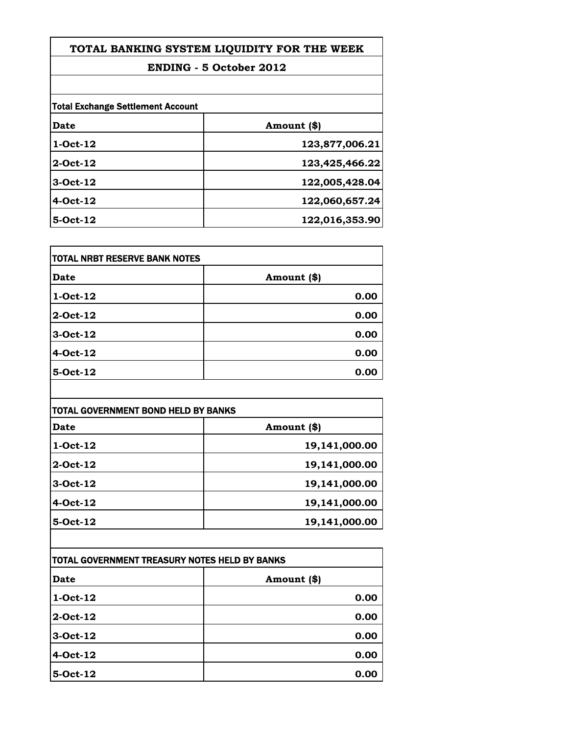## **ENDING - 5 October 2012**

| <b>Total Exchange Settlement Account</b> |                |
|------------------------------------------|----------------|
| Date                                     | Amount (\$)    |
| $1-Oct-12$                               | 123,877,006.21 |
| 2-Oct-12                                 | 123,425,466.22 |
| $3-Oct-12$                               | 122,005,428.04 |
| 4-Oct-12                                 | 122,060,657.24 |
| 5-Oct-12                                 | 122,016,353.90 |

| TOTAL NRBT RESERVE BANK NOTES |             |
|-------------------------------|-------------|
| <b>Date</b>                   | Amount (\$) |
| $1-Oct-12$                    | 0.00        |
| 2-Oct-12                      | 0.00        |
| 3-Oct-12                      | 0.00        |
| 4-Oct-12                      | 0.00        |
| 5-Oct-12                      | 0.00        |

| TOTAL GOVERNMENT BOND HELD BY BANKS |               |
|-------------------------------------|---------------|
| Date                                | Amount (\$)   |
| $1-Oct-12$                          | 19,141,000.00 |
| 2-Oct-12                            | 19,141,000.00 |
| $3-Oct-12$                          | 19,141,000.00 |
| $4-Oct-12$                          | 19,141,000.00 |
| $5-Oct-12$                          | 19,141,000.00 |

| TOTAL GOVERNMENT TREASURY NOTES HELD BY BANKS |             |
|-----------------------------------------------|-------------|
| Date                                          | Amount (\$) |
| $1-Oct-12$                                    | 0.00        |
| 2-Oct-12                                      | 0.00        |
| 3-Oct-12                                      | 0.00        |
| 4-Oct-12                                      | 0.00        |
| 5-Oct-12                                      | 0.00        |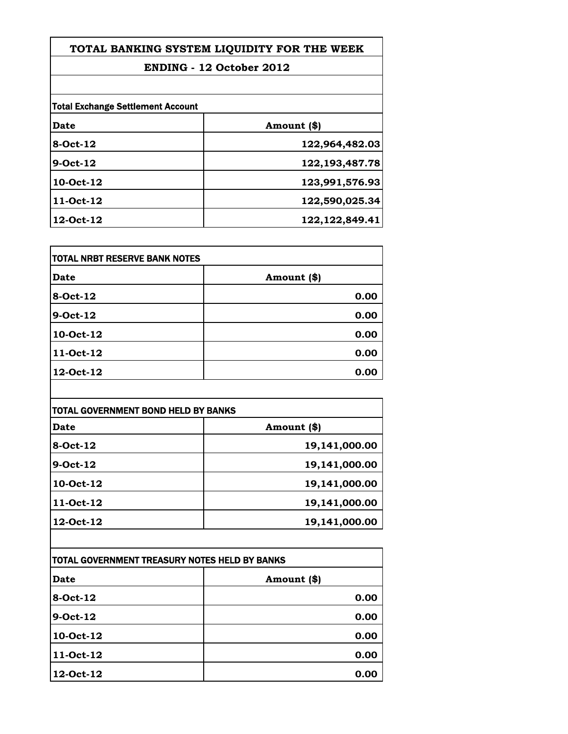## **ENDING - 12 October 2012**

| <b>Total Exchange Settlement Account</b> |                   |
|------------------------------------------|-------------------|
| Date                                     | Amount (\$)       |
| 8-Oct-12                                 | 122,964,482.03    |
| $9-Oct-12$                               | 122, 193, 487. 78 |
| 10-Oct-12                                | 123,991,576.93    |
| 11-Oct-12                                | 122,590,025.34    |
| 12-Oct-12                                | 122, 122, 849. 41 |

| TOTAL NRBT RESERVE BANK NOTES |             |
|-------------------------------|-------------|
| Date                          | Amount (\$) |
| 8-Oct-12                      | 0.00        |
| 9-Oct-12                      | 0.00        |
| 10-Oct-12                     | 0.00        |
| 11-Oct-12                     | 0.00        |
| 12-Oct-12                     | 0.00        |

| <b>TOTAL GOVERNMENT BOND HELD BY BANKS</b> |               |
|--------------------------------------------|---------------|
| Date                                       | Amount (\$)   |
| 8-Oct-12                                   | 19,141,000.00 |
| $9-Oct-12$                                 | 19,141,000.00 |
| 10-Oct-12                                  | 19,141,000.00 |
| 11-Oct-12                                  | 19,141,000.00 |
| 12-Oct-12                                  | 19,141,000.00 |

| ITOTAL GOVERNMENT TREASURY NOTES HELD BY BANKS |             |
|------------------------------------------------|-------------|
| Date                                           | Amount (\$) |
| $8-Oct-12$                                     | 0.00        |
| 9-Oct-12                                       | 0.00        |
| 10-Oct-12                                      | 0.00        |
| 11-Oct-12                                      | 0.00        |
| 12-Oct-12                                      | 0.00        |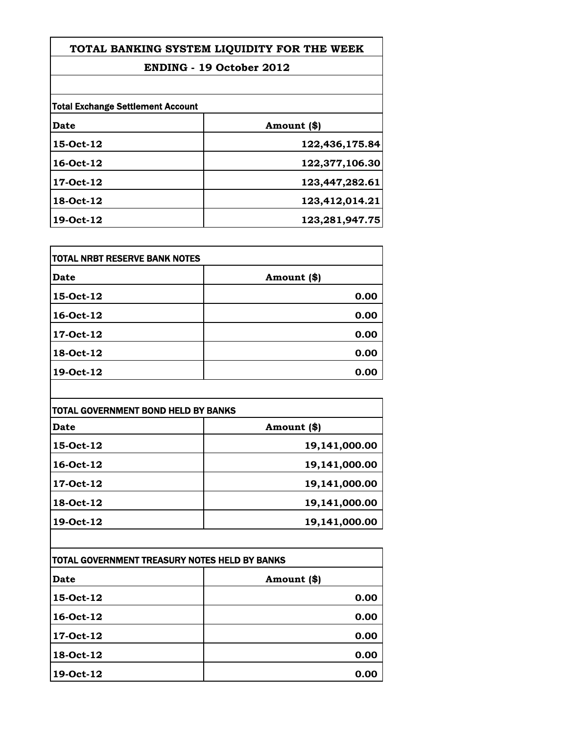## **ENDING - 19 October 2012**

| <b>Total Exchange Settlement Account</b> |                |
|------------------------------------------|----------------|
| Date                                     | Amount (\$)    |
| 15-Oct-12                                | 122,436,175.84 |
| 16-Oct-12                                | 122,377,106.30 |
| 17-Oct-12                                | 123,447,282.61 |
| 18-Oct-12                                | 123,412,014.21 |
| 19-Oct-12                                | 123,281,947.75 |

| TOTAL NRBT RESERVE BANK NOTES |             |
|-------------------------------|-------------|
| <b>Date</b>                   | Amount (\$) |
| 15-Oct-12                     | 0.00        |
| 16-Oct-12                     | 0.00        |
| 17-Oct-12                     | 0.00        |
| 18-Oct-12                     | 0.00        |
| 19-Oct-12                     | 0.00        |

| <b>TOTAL GOVERNMENT BOND HELD BY BANKS</b> |               |
|--------------------------------------------|---------------|
| Date                                       | Amount (\$)   |
| 15-Oct-12                                  | 19,141,000.00 |
| 16-Oct-12                                  | 19,141,000.00 |
| 17-Oct-12                                  | 19,141,000.00 |
| 18-Oct-12                                  | 19,141,000.00 |
| 19-Oct-12                                  | 19,141,000.00 |

| ITOTAL GOVERNMENT TREASURY NOTES HELD BY BANKS |             |
|------------------------------------------------|-------------|
| Date                                           | Amount (\$) |
| 15-Oct-12                                      | 0.00        |
| 16-Oct-12                                      | 0.00        |
| 17-Oct-12                                      | 0.00        |
| 18-Oct-12                                      | 0.00        |
| 19-Oct-12                                      | 0.00        |